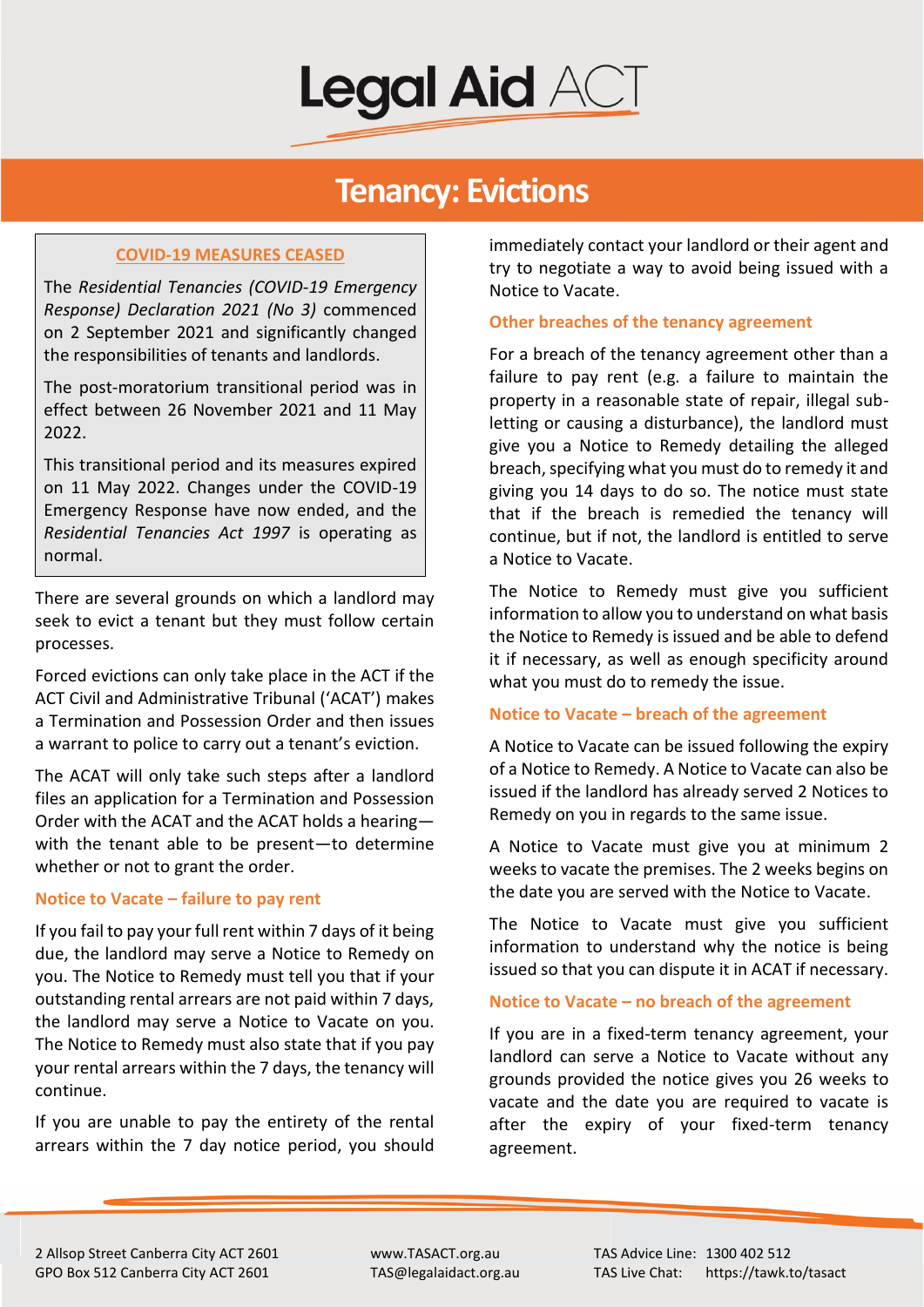

## **Tenancy: Evictions**

### **COVID-19 MEASURES CEASED**

The *Residential Tenancies (COVID-19 Emergency Response) Declaration 2021 (No 3)* commenced on 2 September 2021 and significantly changed the responsibilities of tenants and landlords.

The post-moratorium transitional period was in effect between 26 November 2021 and 11 May 2022.

This transitional period and its measures expired on 11 May 2022. Changes under the COVID-19 Emergency Response have now ended, and the *Residential Tenancies Act 1997* is operating as normal.

There are several grounds on which a landlord may seek to evict a tenant but they must follow certain processes.

Forced evictions can only take place in the ACT if the ACT Civil and Administrative Tribunal ('ACAT') makes a Termination and Possession Order and then issues a warrant to police to carry out a tenant's eviction.

The ACAT will only take such steps after a landlord files an application for a Termination and Possession Order with the ACAT and the ACAT holds a hearing with the tenant able to be present—to determine whether or not to grant the order.

#### **Notice to Vacate – failure to pay rent**

If you fail to pay your full rent within 7 days of it being due, the landlord may serve a Notice to Remedy on you. The Notice to Remedy must tell you that if your outstanding rental arrears are not paid within 7 days, the landlord may serve a Notice to Vacate on you. The Notice to Remedy must also state that if you pay your rental arrears within the 7 days, the tenancy will continue.

If you are unable to pay the entirety of the rental arrears within the 7 day notice period, you should immediately contact your landlord or their agent and try to negotiate a way to avoid being issued with a Notice to Vacate.

#### **Other breaches of the tenancy agreement**

For a breach of the tenancy agreement other than a failure to pay rent (e.g. a failure to maintain the property in a reasonable state of repair, illegal subletting or causing a disturbance), the landlord must give you a Notice to Remedy detailing the alleged breach, specifying what you must do to remedy it and giving you 14 days to do so. The notice must state that if the breach is remedied the tenancy will continue, but if not, the landlord is entitled to serve a Notice to Vacate.

The Notice to Remedy must give you sufficient information to allow you to understand on what basis the Notice to Remedy is issued and be able to defend it if necessary, as well as enough specificity around what you must do to remedy the issue.

#### **Notice to Vacate – breach of the agreement**

A Notice to Vacate can be issued following the expiry of a Notice to Remedy. A Notice to Vacate can also be issued if the landlord has already served 2 Notices to Remedy on you in regards to the same issue.

A Notice to Vacate must give you at minimum 2 weeks to vacate the premises. The 2 weeks begins on the date you are served with the Notice to Vacate.

The Notice to Vacate must give you sufficient information to understand why the notice is being issued so that you can dispute it in ACAT if necessary.

#### **Notice to Vacate – no breach of the agreement**

If you are in a fixed-term tenancy agreement, your landlord can serve a Notice to Vacate without any grounds provided the notice gives you 26 weeks to vacate and the date you are required to vacate is after the expiry of your fixed-term tenancy agreement.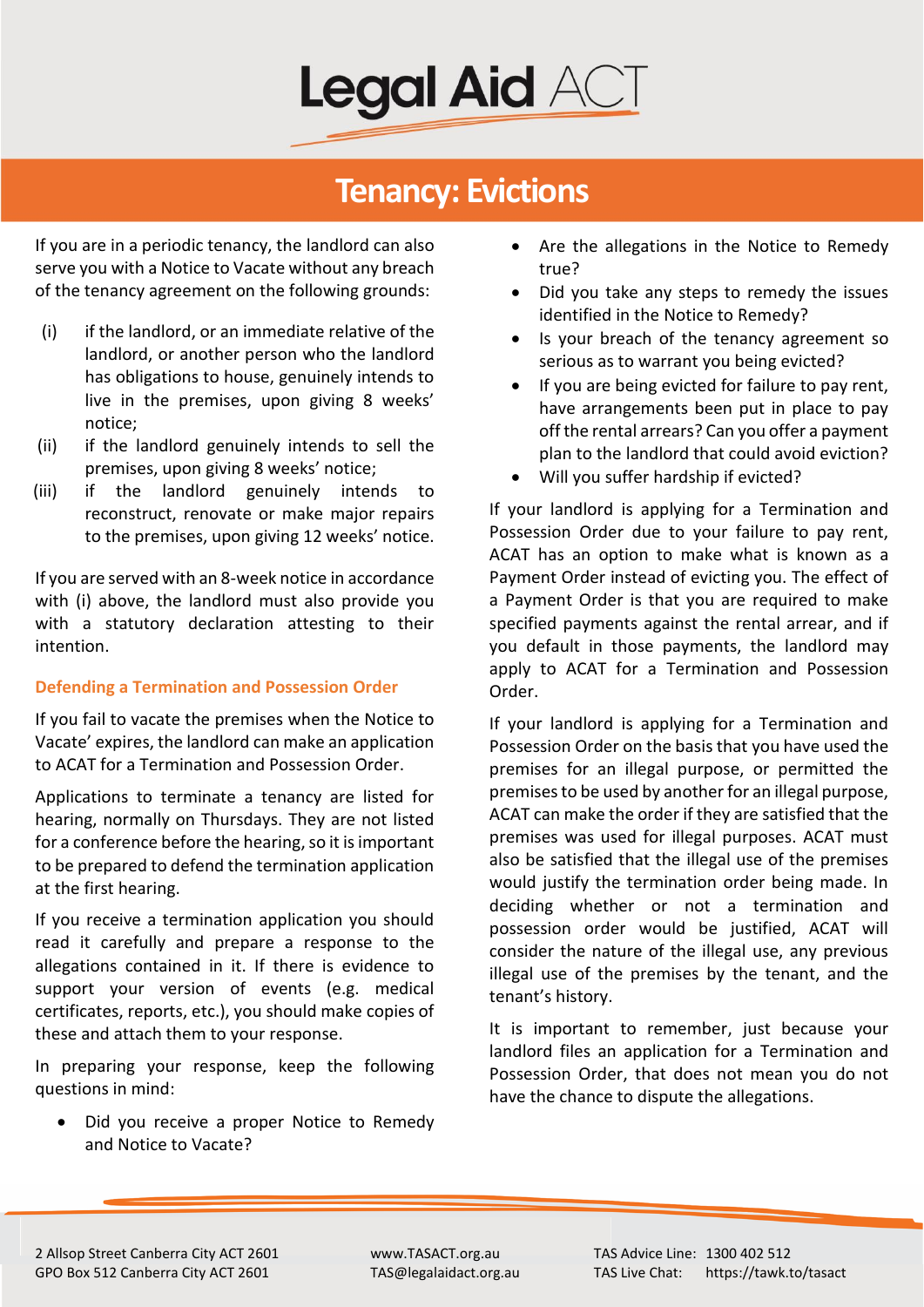

## **Tenancy: Evictions**

If you are in a periodic tenancy, the landlord can also serve you with a Notice to Vacate without any breach of the tenancy agreement on the following grounds:

- (i) if the landlord, or an immediate relative of the landlord, or another person who the landlord has obligations to house, genuinely intends to live in the premises, upon giving 8 weeks' notice;
- (ii) if the landlord genuinely intends to sell the premises, upon giving 8 weeks' notice;
- (iii) if the landlord genuinely intends to reconstruct, renovate or make major repairs to the premises, upon giving 12 weeks' notice.

If you are served with an 8-week notice in accordance with (i) above, the landlord must also provide you with a statutory declaration attesting to their intention.

#### **Defending a Termination and Possession Order**

If you fail to vacate the premises when the Notice to Vacate' expires, the landlord can make an application to ACAT for a Termination and Possession Order.

Applications to terminate a tenancy are listed for hearing, normally on Thursdays. They are not listed for a conference before the hearing, so it is important to be prepared to defend the termination application at the first hearing.

If you receive a termination application you should read it carefully and prepare a response to the allegations contained in it. If there is evidence to support your version of events (e.g. medical certificates, reports, etc.), you should make copies of these and attach them to your response.

In preparing your response, keep the following questions in mind:

• Did you receive a proper Notice to Remedy and Notice to Vacate?

- Are the allegations in the Notice to Remedy true?
- Did you take any steps to remedy the issues identified in the Notice to Remedy?
- Is your breach of the tenancy agreement so serious as to warrant you being evicted?
- If you are being evicted for failure to pay rent, have arrangements been put in place to pay off the rental arrears? Can you offer a payment plan to the landlord that could avoid eviction?
- Will you suffer hardship if evicted?

If your landlord is applying for a Termination and Possession Order due to your failure to pay rent, ACAT has an option to make what is known as a Payment Order instead of evicting you. The effect of a Payment Order is that you are required to make specified payments against the rental arrear, and if you default in those payments, the landlord may apply to ACAT for a Termination and Possession Order.

If your landlord is applying for a Termination and Possession Order on the basis that you have used the premises for an illegal purpose, or permitted the premises to be used by another for an illegal purpose, ACAT can make the order if they are satisfied that the premises was used for illegal purposes. ACAT must also be satisfied that the illegal use of the premises would justify the termination order being made. In deciding whether or not a termination and possession order would be justified, ACAT will consider the nature of the illegal use, any previous illegal use of the premises by the tenant, and the tenant's history.

It is important to remember, just because your landlord files an application for a Termination and Possession Order, that does not mean you do not have the chance to dispute the allegations.